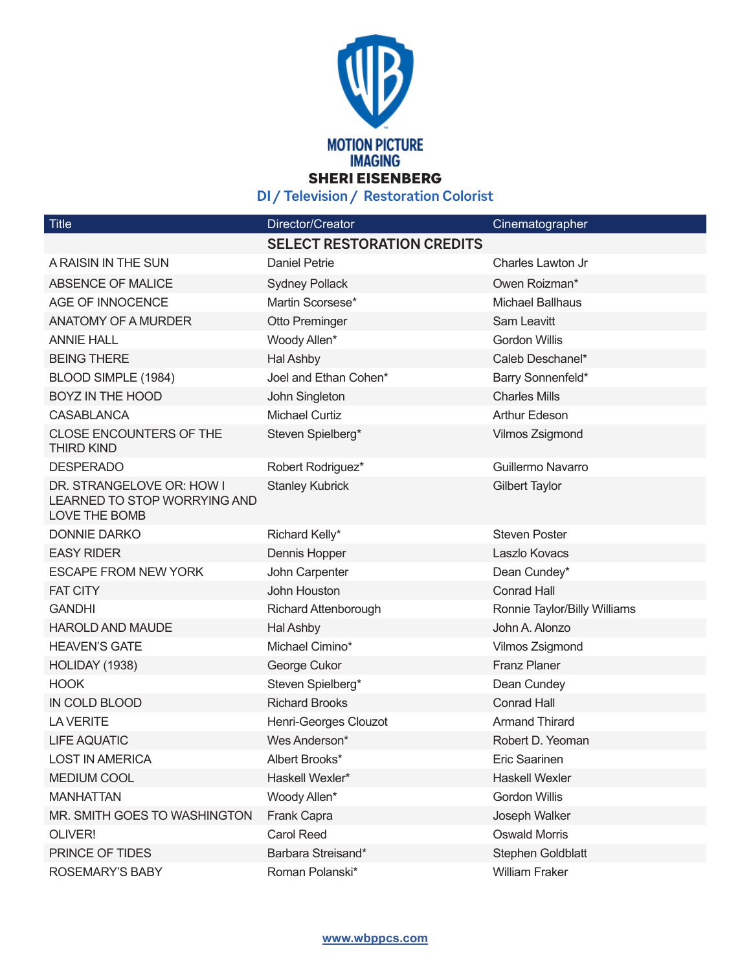

**DI / Television / Restoration Colorist**

| <b>Title</b>                                                               | Director/Creator                  | Cinematographer              |
|----------------------------------------------------------------------------|-----------------------------------|------------------------------|
|                                                                            | <b>SELECT RESTORATION CREDITS</b> |                              |
| A RAISIN IN THE SUN                                                        | <b>Daniel Petrie</b>              | Charles Lawton Jr            |
| ABSENCE OF MALICE                                                          | <b>Sydney Pollack</b>             | Owen Roizman*                |
| AGE OF INNOCENCE                                                           | Martin Scorsese*                  | <b>Michael Ballhaus</b>      |
| <b>ANATOMY OF A MURDER</b>                                                 | Otto Preminger                    | Sam Leavitt                  |
| <b>ANNIE HALL</b>                                                          | Woody Allen*                      | <b>Gordon Willis</b>         |
| <b>BEING THERE</b>                                                         | Hal Ashby                         | Caleb Deschanel*             |
| BLOOD SIMPLE (1984)                                                        | Joel and Ethan Cohen*             | Barry Sonnenfeld*            |
| <b>BOYZ IN THE HOOD</b>                                                    | John Singleton                    | <b>Charles Mills</b>         |
| <b>CASABLANCA</b>                                                          | <b>Michael Curtiz</b>             | Arthur Edeson                |
| <b>CLOSE ENCOUNTERS OF THE</b><br><b>THIRD KIND</b>                        | Steven Spielberg*                 | Vilmos Zsigmond              |
| <b>DESPERADO</b>                                                           | Robert Rodriguez*                 | Guillermo Navarro            |
| DR. STRANGELOVE OR: HOW I<br>LEARNED TO STOP WORRYING AND<br>LOVE THE BOMB | <b>Stanley Kubrick</b>            | <b>Gilbert Taylor</b>        |
| <b>DONNIE DARKO</b>                                                        | Richard Kelly*                    | <b>Steven Poster</b>         |
| <b>EASY RIDER</b>                                                          | Dennis Hopper                     | Laszlo Kovacs                |
| <b>ESCAPE FROM NEW YORK</b>                                                | John Carpenter                    | Dean Cundey*                 |
| <b>FAT CITY</b>                                                            | John Houston                      | <b>Conrad Hall</b>           |
| <b>GANDHI</b>                                                              | Richard Attenborough              | Ronnie Taylor/Billy Williams |
| <b>HAROLD AND MAUDE</b>                                                    | Hal Ashby                         | John A. Alonzo               |
| <b>HEAVEN'S GATE</b>                                                       | Michael Cimino*                   | Vilmos Zsigmond              |
| HOLIDAY (1938)                                                             | George Cukor                      | <b>Franz Planer</b>          |
| <b>HOOK</b>                                                                | Steven Spielberg*                 | Dean Cundey                  |
| IN COLD BLOOD                                                              | <b>Richard Brooks</b>             | <b>Conrad Hall</b>           |
| <b>LA VERITE</b>                                                           | Henri-Georges Clouzot             | <b>Armand Thirard</b>        |
| <b>LIFE AQUATIC</b>                                                        | Wes Anderson*                     | Robert D. Yeoman             |
| <b>LOST IN AMERICA</b>                                                     | Albert Brooks*                    | Eric Saarinen                |
| <b>MEDIUM COOL</b>                                                         | Haskell Wexler*                   | <b>Haskell Wexler</b>        |
| <b>MANHATTAN</b>                                                           | Woody Allen*                      | <b>Gordon Willis</b>         |
| MR. SMITH GOES TO WASHINGTON                                               | Frank Capra                       | Joseph Walker                |
| OLIVER!                                                                    | <b>Carol Reed</b>                 | <b>Oswald Morris</b>         |
| PRINCE OF TIDES                                                            | Barbara Streisand*                | Stephen Goldblatt            |
| ROSEMARY'S BABY                                                            | Roman Polanski*                   | William Fraker               |